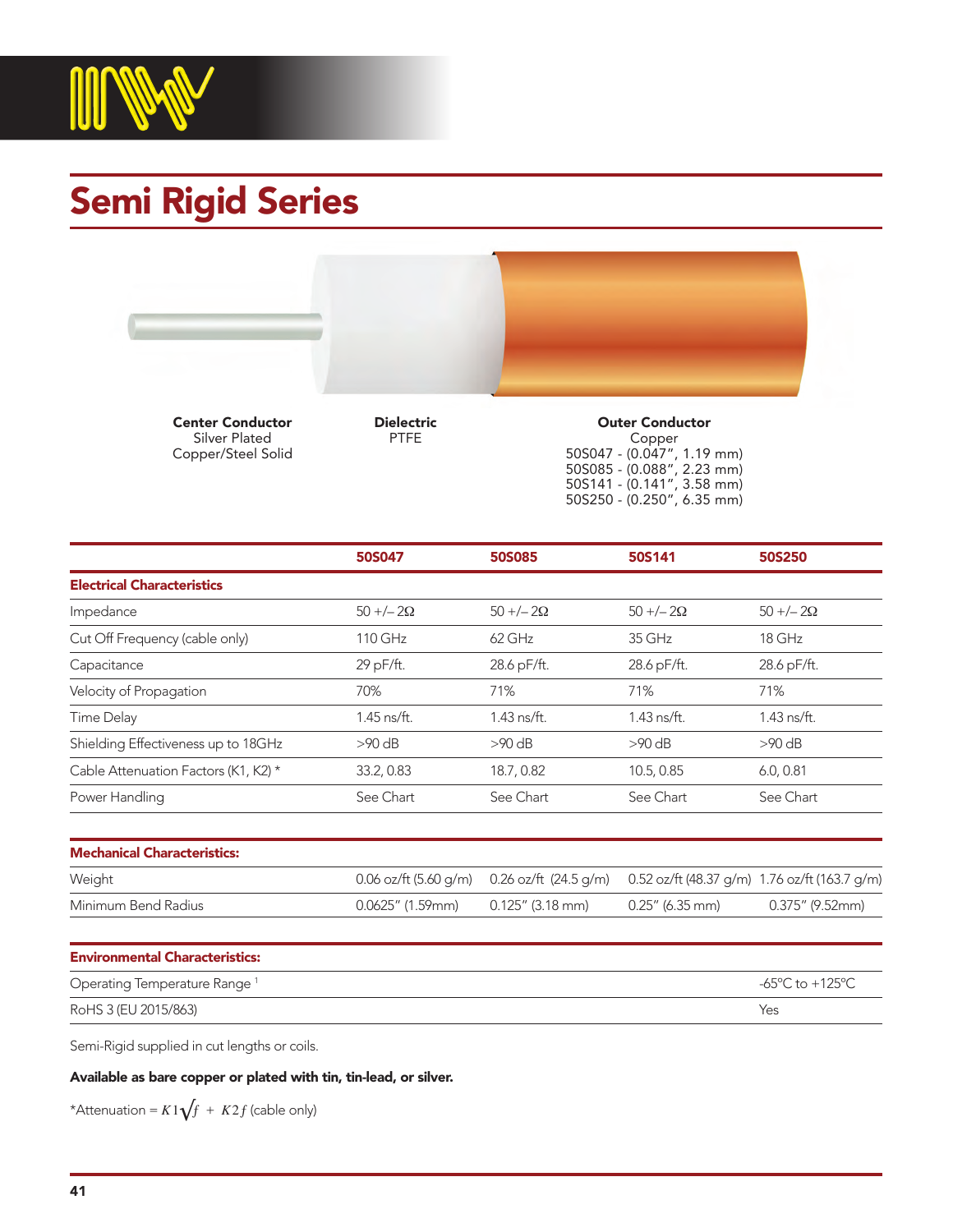

## Semi Rigid Series



Center Conductor Silver Plated Copper/Steel Solid Dielectric PTFE

Outer Conductor Copper 50S047 - (0.047", 1.19 mm) 50S085 - (0.088", 2.23 mm) 50S141 - (0.141", 3.58 mm) 50S250 - (0.250", 6.35 mm)

|                                      | 50S047        | <b>50S085</b> | 50S141       | <b>50S250</b> |
|--------------------------------------|---------------|---------------|--------------|---------------|
| <b>Electrical Characteristics</b>    |               |               |              |               |
| Impedance                            | $50 + (-20)$  | $50 + (-20)$  | $50 + (-20)$ | $50 + (-20)$  |
| Cut Off Frequency (cable only)       | 110 GHz       | 62 GHz        | 35 GHz       | 18 GHz        |
| Capacitance                          | 29 pF/ft.     | 28.6 pF/ft.   | 28.6 pF/ft.  | 28.6 pF/ft.   |
| Velocity of Propagation              | 70%           | 71%           | 71%          | 71%           |
| Time Delay                           | $1.45$ ns/ft. | 1.43 ns/ft.   | 1.43 ns/ft.  | 1.43 ns/ft.   |
| Shielding Effectiveness up to 18GHz  | $>90$ dB      | $>90$ dB      | $>90$ dB     | $>90$ dB      |
| Cable Attenuation Factors (K1, K2) * | 33.2, 0.83    | 18.7, 0.82    | 10.5, 0.85   | 6.0, 0.81     |
| Power Handling                       | See Chart     | See Chart     | See Chart    | See Chart     |

| Weight              |                                         | 0.06 oz/ft (5.60 g/m) 0.26 oz/ft (24.5 g/m) 0.52 oz/ft (48.37 g/m) 1.76 oz/ft (163.7 g/m) |                 |                 |
|---------------------|-----------------------------------------|-------------------------------------------------------------------------------------------|-----------------|-----------------|
| Minimum Bend Radius | $0.0625''$ (1.59mm) $0.125''$ (3.18 mm) |                                                                                           | 0.25" (6.35 mm) | 0.375" (9.52mm) |

| <b>Environmental Characteristics:</b>    |                 |
|------------------------------------------|-----------------|
| Operating Temperature Range <sup>1</sup> | -65°C to +125°C |
| RoHS 3 (EU 2015/863)                     | Yes             |

Semi-Rigid supplied in cut lengths or coils.

Available as bare copper or plated with tin, tin-lead, or silver.

\*Attenuation =  $K1\sqrt{f}$  +  $K2f$  (cable only)